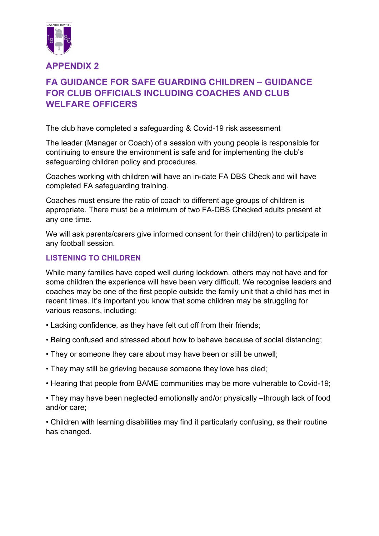

APPENDIX 2

## FA GUIDANCE FOR SAFE GUARDING CHILDREN – GUIDANCE FOR CLUB OFFICIALS INCLUDING COACHES AND CLUB WELFARE OFFICERS

The club have completed a safeguarding & Covid-19 risk assessment

The leader (Manager or Coach) of a session with young people is responsible for continuing to ensure the environment is safe and for implementing the club's safeguarding children policy and procedures.

Coaches working with children will have an in-date FA DBS Check and will have completed FA safeguarding training.

Coaches must ensure the ratio of coach to different age groups of children is appropriate. There must be a minimum of two FA-DBS Checked adults present at any one time.

We will ask parents/carers give informed consent for their child(ren) to participate in any football session.

## LISTENING TO CHILDREN

While many families have coped well during lockdown, others may not have and for some children the experience will have been very difficult. We recognise leaders and coaches may be one of the first people outside the family unit that a child has met in recent times. It's important you know that some children may be struggling for various reasons, including:

- Lacking confidence, as they have felt cut off from their friends;
- Being confused and stressed about how to behave because of social distancing;
- They or someone they care about may have been or still be unwell;
- They may still be grieving because someone they love has died;
- Hearing that people from BAME communities may be more vulnerable to Covid-19;
- They may have been neglected emotionally and/or physically –through lack of food and/or care;

• Children with learning disabilities may find it particularly confusing, as their routine has changed.